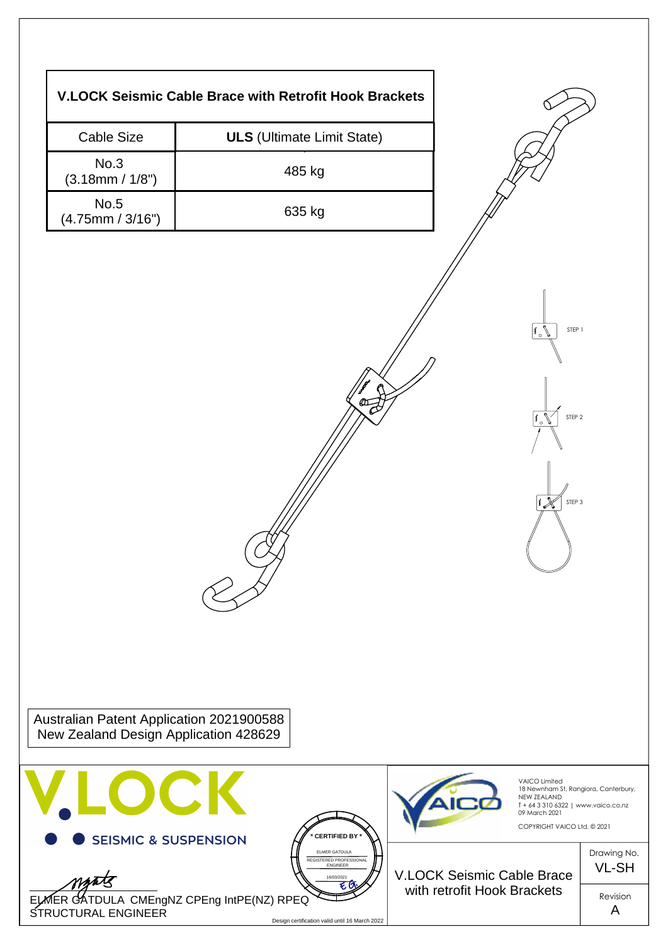